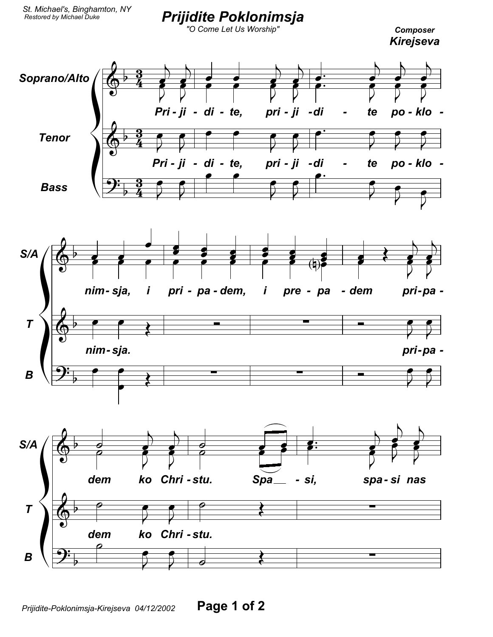## **Prijidite Poklonimsja**<br>"O Come Let Us Worship"

**Composer** Kirejseva